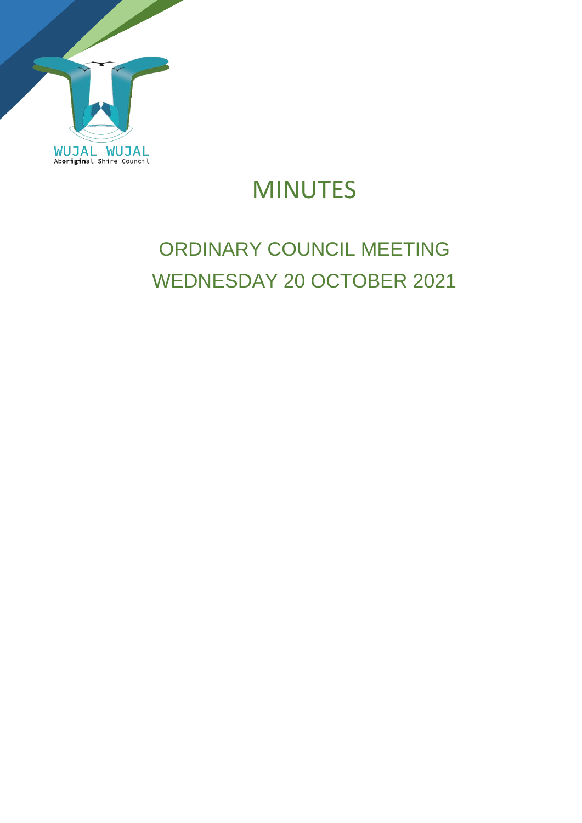

# MINUTES

# ORDINARY COUNCIL MEETING WEDNESDAY 20 OCTOBER 2021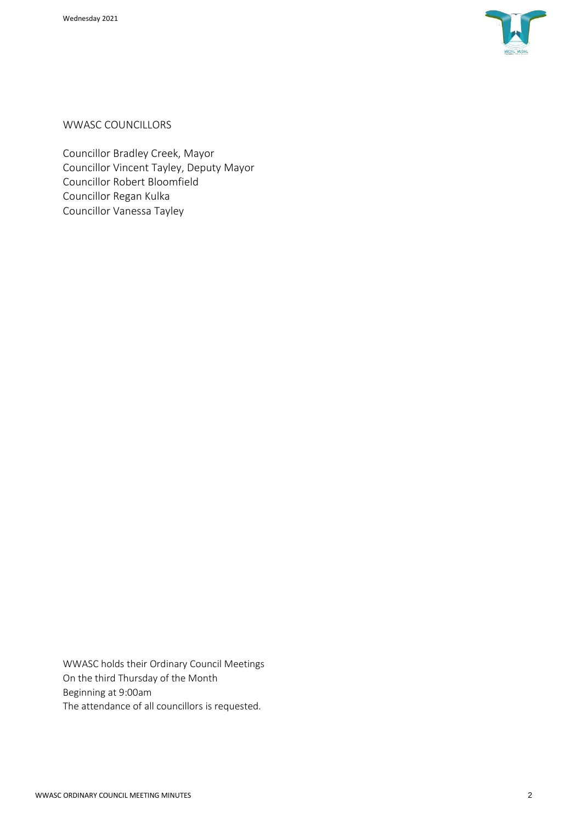

WWASC COUNCILLORS

Councillor Bradley Creek, Mayor Councillor Vincent Tayley, Deputy Mayor Councillor Robert Bloomfield Councillor Regan Kulka Councillor Vanessa Tayley

WWASC holds their Ordinary Council Meetings On the third Thursday of the Month Beginning at 9:00am The attendance of all councillors is requested.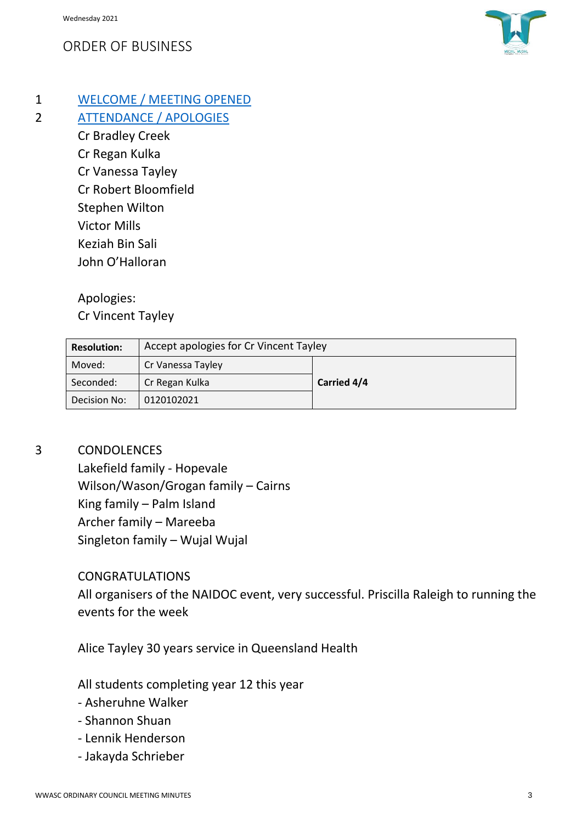## ORDER OF BUSINESS



1 WELCOME / MEETING OPENED

2 ATTENDANCE / APOLOGIES

Cr Bradley Creek Cr Regan Kulka Cr Vanessa Tayley Cr Robert Bloomfield Stephen Wilton Victor Mills Keziah Bin Sali John O'Halloran

Apologies:

Cr Vincent Tayley

| <b>Resolution:</b> | Accept apologies for Cr Vincent Tayley |             |
|--------------------|----------------------------------------|-------------|
| Moved:             | Cr Vanessa Tayley                      |             |
| Seconded:          | Cr Regan Kulka                         | Carried 4/4 |
| Decision No:       | 0120102021                             |             |

### 3 CONDOLENCES

Lakefield family - Hopevale Wilson/Wason/Grogan family – Cairns King family – Palm Island Archer family – Mareeba Singleton family – Wujal Wujal

### CONGRATULATIONS

All organisers of the NAIDOC event, very successful. Priscilla Raleigh to running the events for the week

Alice Tayley 30 years service in Queensland Health

All students completing year 12 this year

- Asheruhne Walker
- Shannon Shuan
- Lennik Henderson
- Jakayda Schrieber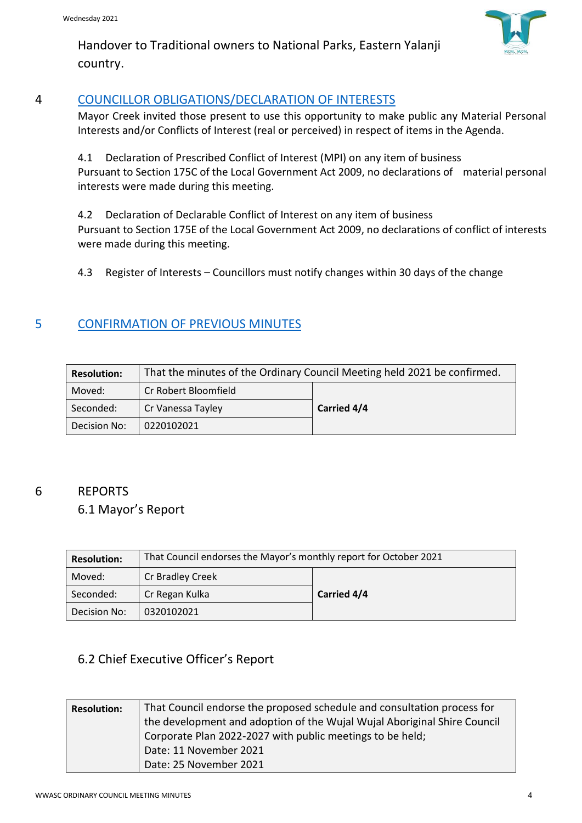

Handover to Traditional owners to National Parks, Eastern Yalanji country.

### 4 COUNCILLOR OBLIGATIONS/DECLARATION OF INTERESTS

Mayor Creek invited those present to use this opportunity to make public any Material Personal Interests and/or Conflicts of Interest (real or perceived) in respect of items in the Agenda.

4.1 Declaration of Prescribed Conflict of Interest (MPI) on any item of business Pursuant to Section 175C of the Local Government Act 2009, no declarations of material personal interests were made during this meeting.

4.2 Declaration of Declarable Conflict of Interest on any item of business Pursuant to Section 175E of the Local Government Act 2009, no declarations of conflict of interests were made during this meeting.

4.3 Register of Interests – Councillors must notify changes within 30 days of the change

# 5 CONFIRMATION OF PREVIOUS MINUTES

| <b>Resolution:</b> | That the minutes of the Ordinary Council Meeting held 2021 be confirmed. |             |  |
|--------------------|--------------------------------------------------------------------------|-------------|--|
| Moved:             | Cr Robert Bloomfield                                                     |             |  |
| Seconded:          | Cr Vanessa Tayley                                                        | Carried 4/4 |  |
| Decision No:       | 0220102021                                                               |             |  |

# 6 REPORTS

# 6.1 Mayor's Report

| <b>Resolution:</b> | That Council endorses the Mayor's monthly report for October 2021 |             |
|--------------------|-------------------------------------------------------------------|-------------|
| Moved:             | Cr Bradley Creek                                                  |             |
| Seconded:          | Cr Regan Kulka                                                    | Carried 4/4 |
| Decision No:       | 0320102021                                                        |             |

## 6.2 Chief Executive Officer's Report

| <b>Resolution:</b> | That Council endorse the proposed schedule and consultation process for<br>the development and adoption of the Wujal Wujal Aboriginal Shire Council<br>Corporate Plan 2022-2027 with public meetings to be held;<br>Date: 11 November 2021 |
|--------------------|--------------------------------------------------------------------------------------------------------------------------------------------------------------------------------------------------------------------------------------------|
|                    | Date: 25 November 2021                                                                                                                                                                                                                     |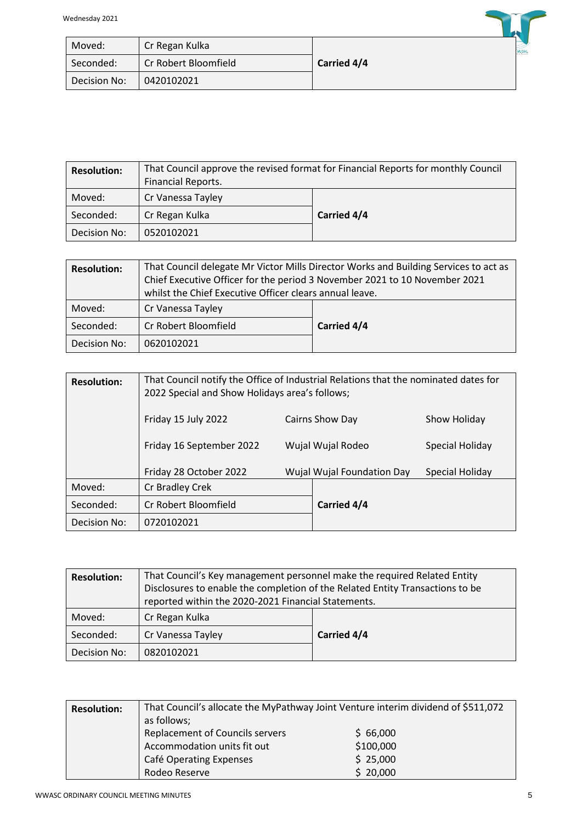| Moved:       | Cr Regan Kulka       |             | <b>WUJAL</b> |
|--------------|----------------------|-------------|--------------|
| Seconded:    | Cr Robert Bloomfield | Carried 4/4 |              |
| Decision No: | 0420102021           |             |              |

| <b>Resolution:</b> | That Council approve the revised format for Financial Reports for monthly Council<br>Financial Reports. |             |
|--------------------|---------------------------------------------------------------------------------------------------------|-------------|
| Moved:             | Cr Vanessa Tayley                                                                                       |             |
| Seconded:          | Cr Regan Kulka                                                                                          | Carried 4/4 |
| Decision No:       | 0520102021                                                                                              |             |

| <b>Resolution:</b> | That Council delegate Mr Victor Mills Director Works and Building Services to act as<br>Chief Executive Officer for the period 3 November 2021 to 10 November 2021<br>whilst the Chief Executive Officer clears annual leave. |             |
|--------------------|-------------------------------------------------------------------------------------------------------------------------------------------------------------------------------------------------------------------------------|-------------|
| Moved:             | Cr Vanessa Tayley                                                                                                                                                                                                             |             |
| Seconded:          | Cr Robert Bloomfield                                                                                                                                                                                                          | Carried 4/4 |
| Decision No:       | 0620102021                                                                                                                                                                                                                    |             |

| <b>Resolution:</b> | That Council notify the Office of Industrial Relations that the nominated dates for<br>2022 Special and Show Holidays area's follows; |  |                                   |                 |
|--------------------|---------------------------------------------------------------------------------------------------------------------------------------|--|-----------------------------------|-----------------|
|                    | Friday 15 July 2022                                                                                                                   |  | Cairns Show Day                   | Show Holiday    |
|                    | Friday 16 September 2022                                                                                                              |  | Wujal Wujal Rodeo                 | Special Holiday |
|                    | Friday 28 October 2022                                                                                                                |  | <b>Wujal Wujal Foundation Day</b> | Special Holiday |
| Moved:             | Cr Bradley Crek                                                                                                                       |  |                                   |                 |
| Seconded:          | Cr Robert Bloomfield                                                                                                                  |  | Carried 4/4                       |                 |
| Decision No:       | 0720102021                                                                                                                            |  |                                   |                 |

| <b>Resolution:</b> | That Council's Key management personnel make the required Related Entity<br>Disclosures to enable the completion of the Related Entity Transactions to be<br>reported within the 2020-2021 Financial Statements. |             |
|--------------------|------------------------------------------------------------------------------------------------------------------------------------------------------------------------------------------------------------------|-------------|
| Moved:             | Cr Regan Kulka                                                                                                                                                                                                   |             |
| Seconded:          | Cr Vanessa Tayley                                                                                                                                                                                                | Carried 4/4 |
| Decision No:       | 0820102021                                                                                                                                                                                                       |             |

| <b>Resolution:</b> | That Council's allocate the MyPathway Joint Venture interim dividend of \$511,072<br>as follows; |           |
|--------------------|--------------------------------------------------------------------------------------------------|-----------|
|                    | <b>Replacement of Councils servers</b>                                                           | \$66,000  |
|                    | Accommodation units fit out                                                                      | \$100,000 |
|                    | Café Operating Expenses                                                                          | \$25,000  |
|                    | Rodeo Reserve                                                                                    | \$20,000  |

 $\rightarrow$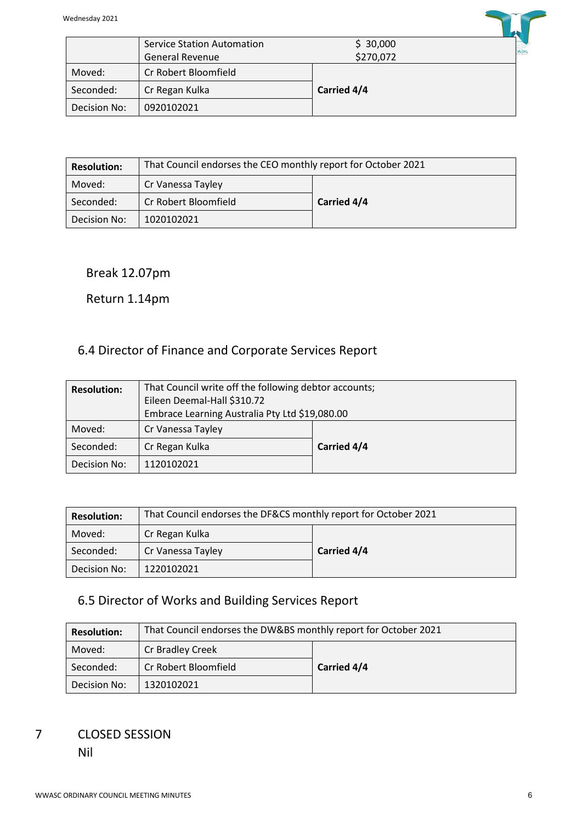

| <b>Resolution:</b> | That Council endorses the CEO monthly report for October 2021 |             |
|--------------------|---------------------------------------------------------------|-------------|
| Moved:             | Cr Vanessa Tayley                                             |             |
| Seconded:          | Cr Robert Bloomfield                                          | Carried 4/4 |
| Decision No:       | 1020102021                                                    |             |

#### Break 12.07pm

#### Return 1.14pm

## 6.4 Director of Finance and Corporate Services Report

| <b>Resolution:</b> | That Council write off the following debtor accounts;<br>Eileen Deemal-Hall \$310.72<br>Embrace Learning Australia Pty Ltd \$19,080.00 |                    |
|--------------------|----------------------------------------------------------------------------------------------------------------------------------------|--------------------|
| Moved:             | Cr Vanessa Tayley                                                                                                                      |                    |
| Seconded:          | Cr Regan Kulka                                                                                                                         | <b>Carried 4/4</b> |
| Decision No:       | 1120102021                                                                                                                             |                    |

| <b>Resolution:</b> | That Council endorses the DF&CS monthly report for October 2021 |             |  |
|--------------------|-----------------------------------------------------------------|-------------|--|
| Moved:             | Cr Regan Kulka                                                  |             |  |
| Seconded:          | Cr Vanessa Tayley                                               | Carried 4/4 |  |
| Decision No:       | 1220102021                                                      |             |  |

## 6.5 Director of Works and Building Services Report

| <b>Resolution:</b> | That Council endorses the DW&BS monthly report for October 2021 |             |  |
|--------------------|-----------------------------------------------------------------|-------------|--|
| Moved:             | Cr Bradley Creek                                                |             |  |
| Seconded:          | Cr Robert Bloomfield                                            | Carried 4/4 |  |
| Decision No:       | 1320102021                                                      |             |  |

### 7 CLOSED SESSION Nil